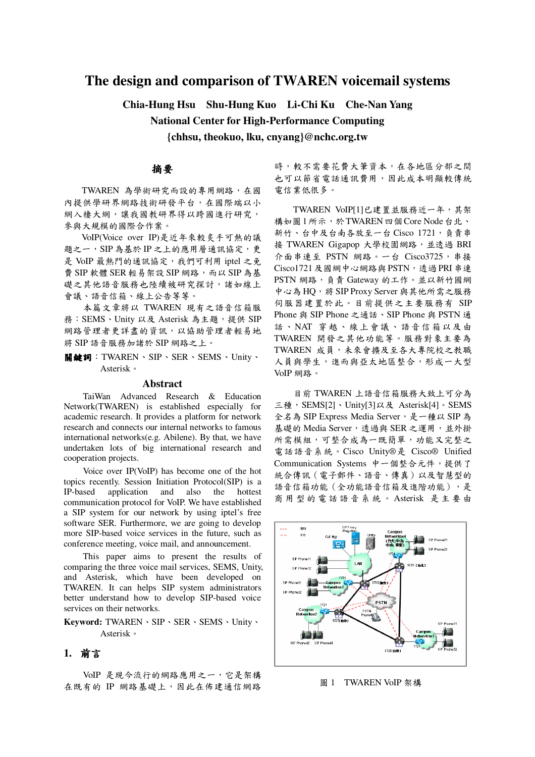# **The design and comparison of TWAREN voicemail systems**

**Chia-Hung Hsu Shu-Hung Kuo Li-Chi Ku Che-Nan Yang**

**National Center for High-Performance Computing**

**{chhsu, theokuo, lku, cnyang}@nchc.org.tw**

## 摘要

TWAREN 為學術研究而設的專用網路,在國 內提供學研界網路技術研發平台,在國際端以小 網入棲大網,讓我國教研界得以跨國進行研究, 參與大規模的國際合作案。

VoIP(Voice over IP)是近年來較炙手可熱的議 題之一, SIP 為基於 IP 之上的應用層通訊協定,更 是 VoIP 最熱門的通訊協定,我們可利用 iptel 之免 費 SIP 軟體 SER 輕易架設 SIP 網路, 而以 SIP 為基 礎之其他語音服務也陸續被研究探討,諸如線上 會議、語音信箱、線上公告等等。

本篇文章將以 TWAREN 現有之語音信箱服 務:SEMS、Unity 以及 Asterisk 為主題,提供 SIP 網路管理者更詳盡的資訊,以協助管理者輕易地 將 SIP 語音服務加諸於 SIP 網路之上。

關鍵詞:TWAREN、SIP、SER、SEMS、Unity、 Asterisk-

#### **Abstract**

TaiWan Advanced Research & Education Network(TWAREN) is established especially for academic research. It provides a platform for network research and connects our internal networks to famous international networks(e.g. Abilene). By that, we have undertaken lots of big international research and cooperation projects.

Voice over IP(VoIP) has become one of the hot topics recently. Session Initiation Protocol(SIP) is a IP-based application and also the hottest communication protocol for VoIP. We have established a SIP system for our network by using iptel's free software SER. Furthermore, we are going to develop more SIP-based voice services in the future, such as conference meeting, voice mail, and announcement.

This paper aims to present the results of comparing the three voice mail services, SEMS, Unity, and Asterisk, which have been developed on TWAREN. It can helps SIP system administrators better understand how to develop SIP-based voice services on their networks.

Keyword: TWAREN \ SIP \ SER \ SEMS \ Unity \ Asterisk-

### **1.**

VoIP 是現今流行的網路應用之一,它是架構 在既有的 IP 網路基礎上,因此在佈建通信網路 時,較不需要花費大筆資本,在各地區分部之間 也可以節省電話通訊費用,因此成本明顯較傳統 電信業低很多。

TWAREN VoIP[1]已建置並服務近一年,其架 構如圖1所示,於TWAREN四個Core Node台北、 新竹、台中及台南各放至一台  $Cisco$   $1721$ , 負責串 接 TWAREN Gigapop 大學校園網路,並透過 BRI 介面串連至 PSTN 網路。一台 Cisco3725, 串接 Cisco1721 及國網中心網路與 PSTN, 透過 PRI 串連 PSTN 網路, 負責 Gateway 的工作。並以新竹國網 中心為HQ,將 SIP Proxy Server 與其他所需之服務 伺服器建置於此。目前提供之主要服務有 SIP Phone 與 SIP Phone 之通話、SIP Phone 與 PSTN 通 話、NAT 穿越、線上會議、語音信箱以及由 TWAREN 開發之其他功能等。服務對象主要為 TWAREN 成員,未來會擴及至各大專院校之教職 人員與學生,進而與亞太地區整合,形成一大型 VoIP 網路。

目前 TWAREN 上語音信箱服務大致上可分為 三種, SEMS[2]、Unity[3]以及 Asterisk[4]。SEMS 全名為 SIP Express Media Server, 是一種以 SIP 為 基礎的 Media Server,透過與 SER 之運用,並外掛 所需模組,可整合成為一既簡單,功能又完整之 電話語音系統。Cisco Unity®是 Cisco® Unified Communication Systems 中一個整合元件,提供了 統合傳訊 (電子郵件、語音、傳真)以及智慧型的 語音信箱功能 (全功能語音信箱及進階功能),是 商用型的電話語音系統。Asterisk 是主要由



圖 1 TWAREN VoIP 架構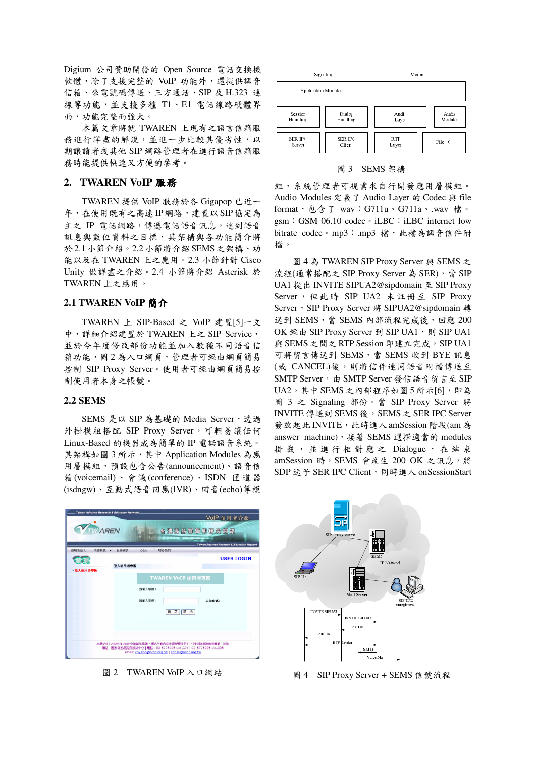Digium 公司贊助開發的 Open Source 電話交換機 軟體,除了支援完整的 VoIP 功能外,還提供語音 信箱、來電號碼傳送、三方通話、SIP及 H.323 連 線等功能,並支援多種 T1、E1 電話線路硬體界 面,功能完整而強大。

本篇文章將就 TWAREN 上現有之語言信箱服 務進行詳盡的解說,並進一步比較其優劣性,以 期讓請者或其他 SIP 網路管理者在進行語音信箱服 務時能提供快速又方便的參考。

### 2. TWAREN VoIP 服務

TWAREN 提供 VoIP 服務於各 Gigapop 已近一 年,在使用既有之高速IP網路,建置以SIP協定為 主之 IP 電話網路,傳遞電話語音訊息,達到語音 訊息與數位資料之目標,其架構與各功能簡介將 於2.1小節介紹。2.2小節將介紹 SEMS 之架構、功 能以及在 TWAREN 上之應用。2.3 小節針對 Cisco Unity 做詳盡之介紹。2.4 小節將介紹 Asterisk 於 TWAREN 上之應用。

### 2.1 TWAREN VoIP 簡介

TWAREN 上 SIP-Based 之 VoIP 建置[5]一文 中,詳細介紹建置於 TWAREN 上之 SIP Service, 並於今年度修改部份功能並加入數種不同語音信 箱功能, 圖2為入口網頁, 管理者可經由網頁簡易 控制 SIP Proxy Server。使用者可經由網頁簡易控 制使用者本身之帳號。

#### **2.2 SEMS**

SEMS 是以 SIP 為基礎的 Media Server,透過 外掛模組搭配 SIP Proxy Server,可輕易讓任何 Linux-Based 的機器成為簡單的 IP 電話語音系統。 其架構如圖3所示,其中 Application Modules 為應 用層模組,預設包含公告(announcement)、語音信 箱(voicemail)、會議(conference)、ISDN 匣道器 (isdngw)、互動式語音回應(IVR)、回音(echo)等模

|                     | Signaling      | Media      |         |  |  |
|---------------------|----------------|------------|---------|--|--|
| Application Module: |                |            |         |  |  |
| Session             | Dialos         | Audio      | Audio   |  |  |
| Handling            | Handling       | Layer      | Module: |  |  |
| <b>SER IP(</b>      | <b>SER IP(</b> | <b>RTP</b> | File C  |  |  |
| Server              | Clien          | Layer      |         |  |  |

#### 圖 3 SEMS 架構

組,系統管理者可視需求自行開發應用層模組。 Audio Modules 定義了 Audio Layer 的 Codec 與 file format, 包含了 wav: G711u、G711a、.wav 檔。 gsm: GSM 06.10 codec · iLBC: iLBC internet low bitrate codec。mp3: .mp3 檔,此檔為語音信件附 檔。

圖 4 為 TWAREN SIP Proxy Server 與 SEMS 之 流程(通常搭配之 SIP Proxy Server 為 SER), 當 SIP UA1 提出 INVITE SIPUA2@sipdomain 至 SIP Proxy Server, 但此時 SIP UA2 未註冊至 SIP Proxy Server, SIP Proxy Server 將 SIPUA2@sipdomain 轉 送到 SEMS,當 SEMS 內部流程完成後,回應 200 OK 經由 SIP Proxy Server 到 SIP UA1, 則 SIP UA1 與 SEMS 之間之 RTP Session 即建立完成, SIP UA1 可將留言傳送到 SEMS,當 SEMS 收到 BYE 訊息 (或 CANCEL)後,則將信件連同語音附檔傳送至 SMTP Server, 由 SMTP Server 發信語音留言至 SIP UA2。其中 SEMS 之內部程序如圖 5 所示[6], 即為 圖 3 之 Signaling 部份。當 SIP Proxy Server 將 INVITE 傳送到 SEMS 後, SEMS 之 SER IPC Server 發放起此 INVITE, 此時進入 amSession 階段(am 為 answer machine), 接著 SEMS 選擇適當的 modules 掛載,並進行相對應之 Dialogue,在結束 amSession 時, SEMS 會產生 200 OK 之訊息, 將 SDP 送予 SER IPC Client, 同時進入 onSessionStart



圖 2 TWAREN VoIP 入口網站



圖 4 SIP Proxy Server + SEMS 信號流程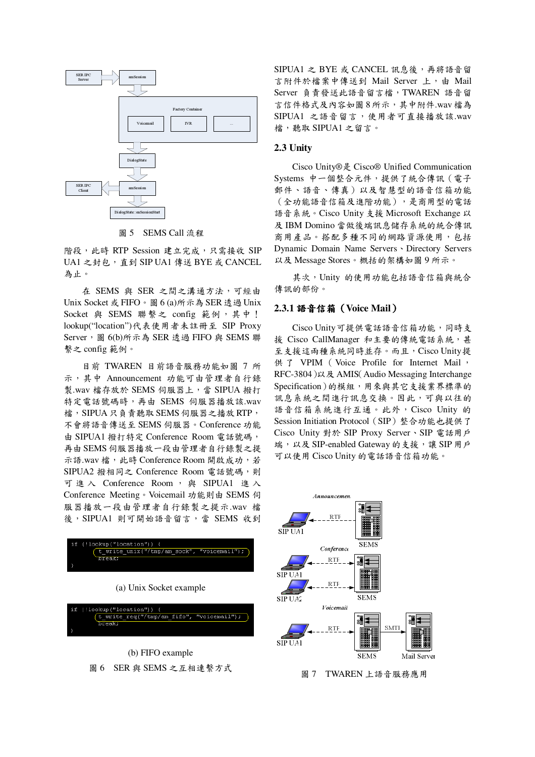

圖 5 SEMS Call 流程

階段,此時 RTP Session 建立完成,只需接收 SIP UA1 之封包, 直到 SIP UA1 傳送 BYE 或 CANCEL 為止。

在 SEMS 與 SER 之間之溝通方法,可經由 Unix Socket 或 FIFO。圖 6 (a)所示為 SER 透過 Unix Socket 與 SEMS 聯繫之 config 範例, 其中! lookup("location")代表使用者未註冊至 SIP Proxy Server, 圖 6(b)所示為 SER 透過 FIFO 與 SEMS 聯 繫之config範例。

目前 TWAREN 目前語音服務功能如圖 7 所 示, 其中 Announcement 功能可由管理者自行錄 製.wav 檔存放於 SEMS 伺服器上,當 SIPUA 撥打 特定電話號碼時,再由 SEMS 伺服器播放該.wav 檔, SIPUA只負責聽取 SEMS 伺服器之播放 RTP, 不會將語音傳送至 SEMS 伺服器。Conference 功能 由 SIPUA1 撥打特定 Conference Room 電話號碼, 再由 SEMS 伺服器播放一段由管理者自行錄製之提 示語.wav 檔,此時 Conference Room 開啟成功,若 SIPUA2 撥相同之 Conference Room 電話號碼,則 可進入 Conference Room, 與 SIPUA1 進入 Conference Meeting。Voicemail 功能則由 SEMS 伺 服器播放一段由管理者自行錄製之提示.wav 檔 後, SIPUA1 則可開始語音留言, 當 SEMS 收到



(a) Unix Socket example



(b) FIFO example 圖 6 SER 與 SEMS 之互相連繫方式

SIPUA1 之 BYE 或 CANCEL 訊息後,再將語音留 言附件於檔案中傳送到 Mail Server 上, 由 Mail Server 負責發送此語音留言檔, TWAREN 語音留 言信件格式及內容如圖8所示,其中附件.wav檔為 SIPUA1 之語音留言,使用者可直接播放該.wav 檔,聽取 SIPUA1 之留言。

#### 2.3 Unity

Cisco Unity®是 Cisco® Unified Communication Systems 中一個整合元件,提供了統合傳訊 (電子 郵件、語音、傳真)以及智慧型的語音信箱功能 (全功能語音信箱及進階功能),是商用型的電話 語音系統。Cisco Unity 支援 Microsoft Exchange 以 及 IBM Domino 當做後端訊息儲存系統的統合傳訊 商用產品。搭配多種不同的網路資源使用,包括 Dynamic Domain Name Servers Directory Servers 以及 Message Stores。概括的架構如圖9所示。

其次, Unity 的使用功能包括語音信箱與統合 傳訊的部份。

#### 2.3.1 語音信箱 (Voice Mail)

Cisco Unity 可提供電話語音信箱功能,同時支 援 Cisco CallManager 和主要的傳統電話系統,甚 至支援這兩種系統同時並存。而且, Cisco Unity提 供了 VPIM (Voice Profile for Internet Mail, RFC-3804)以及 AMIS(Audio Messaging Interchange Specification)的模組,用來與其它支援業界標準的 訊息系統之間進行訊息交換。因此,可與以往的 語音信箱系統進行互通。此外, Cisco Unity 的 Session Initiation Protocol (SIP) 整合功能也提供了 Cisco Unity 對於 SIP Proxy Server、SIP 電話用戶 端,以及 SIP-enabled Gateway 的支援,讓 SIP 用戶 可以使用 Cisco Unity 的電話語音信箱功能。



圖 7 TWAREN 上語音服務應用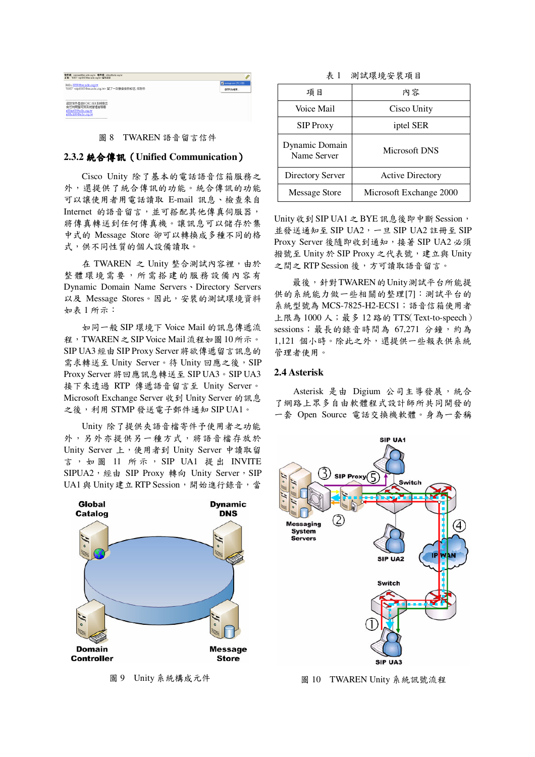| 有件看: voicens@forcachc.com / 背件看: chlan@achc.com /v<br>丰裕: '8385' cin 8385@arrachc.org to 留言論集 |                        |
|-----------------------------------------------------------------------------------------------|------------------------|
| Hello, 8896@ser.nchc.org.tw                                                                   | Tanzange.wav (78.1 KB) |
| "8385" <uip:8385@ser.nchc.org.tw> 留了一封語音信件給您, 如附件</uip:8385@ser.nchc.org.tw>                  | 供存时加坡案                 |
| 這封信件是由NCHC SER系統務出<br>有任何問題可與系統管理者疑擊<br>a00iny00@nchc.org.tw<br>a00hch00@nchc.org.tw          |                        |

#### 圖 8 TWAREN 語音留言信件

### 2.3.2 統合傳訊 (Unified Communication)

Cisco Unity 除了基本的電話語音信箱服務之 外,還提供了統合傳訊的功能。統合傳訊的功能 可以讓使用者用電話讀取 E-mail 訊息、檢查來自 Internet 的語音留言,並可搭配其他傳真伺服器, 將傳真轉送到任何傳真機。讓訊息可以儲存於集 中式的 Message Store 卻可以轉換成多種不同的格 式,供不同性質的個人設備讀取。

在 TWAREN 之 Unity 整合測試內容裡, 由於 整體環境需要,所需搭建的服務設備內容有 Dynamic Domain Name Servers Directory Servers 以及 Message Stores。因此, 安裝的測試環境資料 如表 1 所示:

如同一般 SIP 環境下 Voice Mail 的訊息傳遞流 程, TWAREN之SIP Voice Mail 流程如圖 10所示。 SIP UA3 經由 SIP Proxy Server 將欲傳遞留言訊息的 需求轉送至 Unity Server。待 Unity 回應之後, SIP Proxy Server 將回應訊息轉送至 SIP UA3。SIP UA3 接下來透過 RTP 傳遞語音留言至 Unity Server。 Microsoft Exchange Server 收到 Unity Server 的訊息 之後,利用 STMP 發送電子郵件通知 SIP UA1。

Unity 除了提供夾語音檔寄件予使用者之功能 外,另外亦提供另一種方式,將語音檔存放於 Unity Server 上, 使用者到 Unity Server 中讀取留 言,如圖 11 所示, SIP UA1 提出 INVITE SIPUA2, 經由 SIP Proxy 轉向 Unity Server, SIP UA1 與 Unity 建立 RTP Session, 開始進行錄音, 當



圖 9 Unity 系統構成元件

|  |  | 表 1 |  |  |  |  |  |  |  |  | 測試環境安裝項目 |  |  |
|--|--|-----|--|--|--|--|--|--|--|--|----------|--|--|
|--|--|-----|--|--|--|--|--|--|--|--|----------|--|--|

| 項目                            | 内容                      |  |  |
|-------------------------------|-------------------------|--|--|
| Voice Mail                    | Cisco Unity             |  |  |
| <b>SIP</b> Proxy              | iptel SER               |  |  |
| Dynamic Domain<br>Name Server | Microsoft DNS           |  |  |
| <b>Directory Server</b>       | <b>Active Directory</b> |  |  |
| <b>Message Store</b>          | Microsoft Exchange 2000 |  |  |

Unity 收到 SIP UA1 之 BYE 訊息後即中斷 Session, 並發送通知至 SIP UA2,一旦 SIP UA2 註冊至 SIP Proxy Server 後隨即收到通知, 接著 SIP UA2 必須 撥號至 Unity 於 SIP Proxy 之代表號, 建立與 Unity 之間之 RTP Session 後,方可讀取語音留言。

最後,針對TWAREN的Unity測試平台所能提 供的系統能力做一些相關的整理[7]:測試平台的 系統型號為 MCS-7825-H2-ECS1;語音信箱使用者 上限為 1000 人;最多 12 路的 TTS(Text-to-speech) sessions; 最長的錄音時間為 67,271 分鐘, 約為 1,121 個小時。除此之外,還提供一些報表供系統 管理者使用。

#### 2.4 Asterisk

Asterisk 是由 Digium 公司主導發展,統合 了網路上眾多自由軟體程式設計師所共同開發的 一套 Open Source 電話交換機軟體。身為一套稱



圖 10 TWAREN Unity 系統訊號流程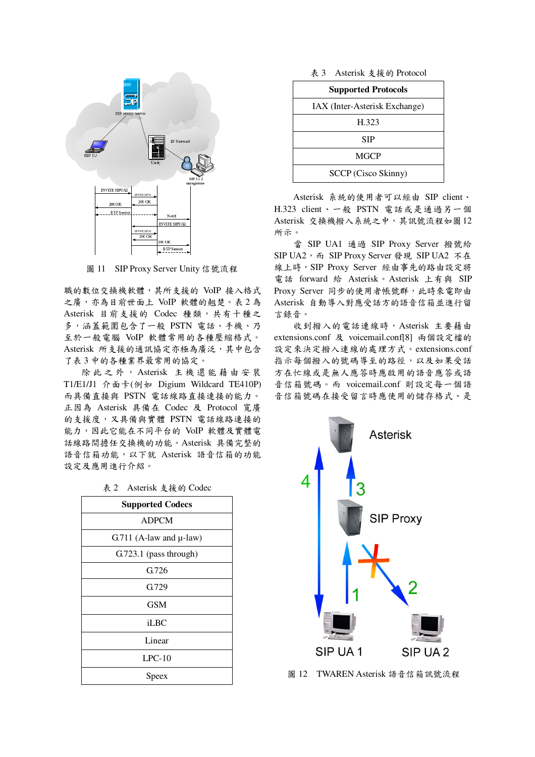

圖 11 SIP Proxy Server Unity 信號流程

職的數位交換機軟體,其所支援的 VoIP 接入格式 之廣,亦為目前世面上 VoIP 軟體的翹楚。表2為 Asterisk 目前支援的 Codec 種類,共有十種之 多,涵蓋範圍包含了一般 PSTN 電話、手機、乃 至於一般電腦 VoIP 軟體常用的各種壓縮格式。 Asterisk 所支援的通訊協定亦極為廣泛,其中包含 了表3中的各種業界最常用的協定。

除此之外, Asterisk 主機還能藉由安裝 T1/E1/J1 介面卡(例如 Digium Wildcard TE410P) 而具備直接與 PSTN 電話線路直接連接的能力。 正因為 Asterisk 具備在 Codec 及 Protocol 寬廣 的支援度,又具備與實體 PSTN 電話線路連接的 能力,因此它能在不同平台的 VoIP 軟體及實體電 話線路間擔任交換機的功能。Asterisk 具備完整的 語音信箱功能,以下就 Asterisk 語音信箱的功能 設定及應用進行介紹。

| <b>Supported Codecs</b>        |
|--------------------------------|
| <b>ADPCM</b>                   |
| $G.711$ (A-law and $\mu$ -law) |
| G.723.1 (pass through)         |
| G.726                          |
| G.729                          |
| GSM                            |
| iLBC                           |
| Linear                         |
| $LPC-10$                       |
| Speex                          |
|                                |

| 表 2 | Asterisk 支援的 Codec |  |
|-----|--------------------|--|
|     |                    |  |

表 3 Asterisk 支援的 Protocol

| <b>Supported Protocols</b>    |
|-------------------------------|
| IAX (Inter-Asterisk Exchange) |
| H.323                         |
| <b>SIP</b>                    |
| <b>MGCP</b>                   |
| SCCP (Cisco Skinny)           |

Asterisk 系統的使用者可以經由 SIP client、 H.323 client、一般 PSTN 電話或是通過另一個 Asterisk 交換機撥入系統之中,其訊號流程如圖12 所示。

當 SIP UA1 通過 SIP Proxy Server 撥號給 SIP UA2, 而 SIP Proxy Server 發現 SIP UA2 不在 線上時, SIP Proxy Server 經由事先的路由設定將 電話 forward 給 Asterisk。Asterisk 上有與 SIP Proxy Server 同步的使用者帳號群, 此時來電即由 Asterisk 自動導入對應受話方的語音信箱並進行留 言錄音。

收到撥入的電話連線時, Asterisk 主要藉由 extensions.conf 及 voicemail.conf[8] 兩個設定檔的 設定來決定撥入連線的處理方式。extensions.conf 指示每個撥入的號碼導至的路徑,以及如果受話 方在忙線或是無人應答時應啟用的語音應答或語 音信箱號碼。而 voicemail.conf 則設定每一個語 音信箱號碼在接受留言時應使用的儲存格式、是



圖 12 TWAREN Asterisk 語音信箱訊號流程